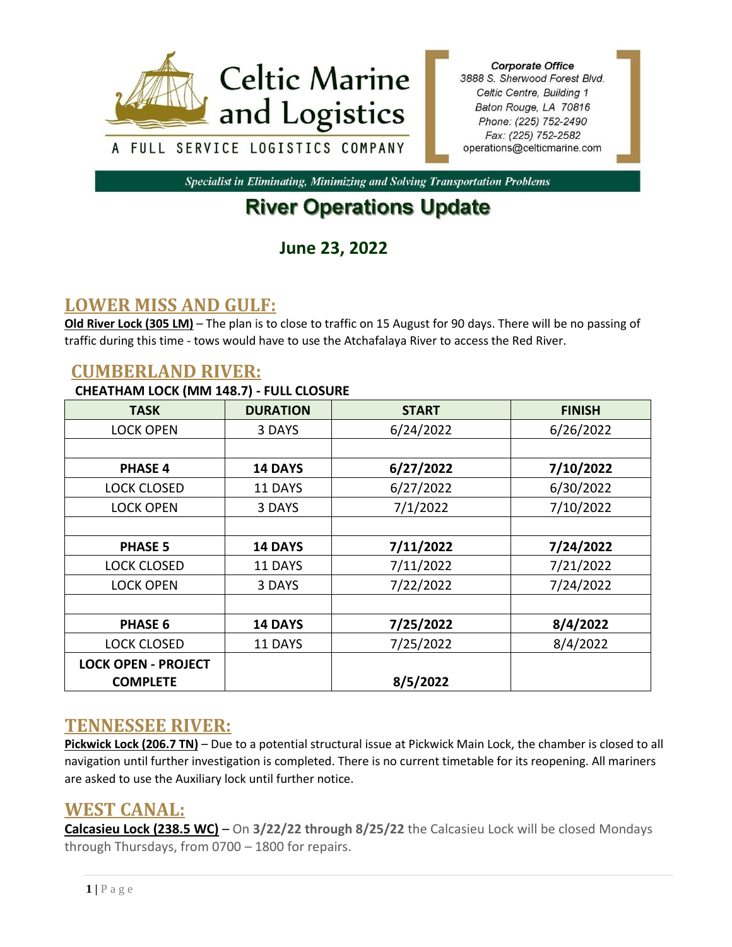

**Corporate Office** 3888 S. Sherwood Forest Blvd. Celtic Centre, Building 1 Baton Rouge, LA 70816 Phone: (225) 752-2490 Fax: (225) 752-2582 operations@celticmarine.com

**Specialist in Eliminating, Minimizing and Solving Transportation Problems** 

# **River Operations Update**

**June 23, 2022**

# **LOWER MISS AND GULF:**

**Old River Lock (305 LM)** – The plan is to close to traffic on 15 August for 90 days. There will be no passing of traffic during this time - tows would have to use the Atchafalaya River to access the Red River.

#### **CUMBERLAND RIVER:**

#### **CHEATHAM LOCK (MM 148.7) - FULL CLOSURE**

| <b>TASK</b>                | <b>DURATION</b> | <b>START</b> | <b>FINISH</b> |
|----------------------------|-----------------|--------------|---------------|
| <b>LOCK OPEN</b>           | 3 DAYS          | 6/24/2022    | 6/26/2022     |
|                            |                 |              |               |
| <b>PHASE 4</b>             | <b>14 DAYS</b>  | 6/27/2022    | 7/10/2022     |
| <b>LOCK CLOSED</b>         | 11 DAYS         | 6/27/2022    | 6/30/2022     |
| <b>LOCK OPEN</b>           | 3 DAYS          | 7/1/2022     | 7/10/2022     |
|                            |                 |              |               |
| <b>PHASE 5</b>             | <b>14 DAYS</b>  | 7/11/2022    | 7/24/2022     |
| <b>LOCK CLOSED</b>         | 11 DAYS         | 7/11/2022    | 7/21/2022     |
| <b>LOCK OPEN</b>           | 3 DAYS          | 7/22/2022    | 7/24/2022     |
|                            |                 |              |               |
| <b>PHASE 6</b>             | <b>14 DAYS</b>  | 7/25/2022    | 8/4/2022      |
| <b>LOCK CLOSED</b>         | 11 DAYS         | 7/25/2022    | 8/4/2022      |
| <b>LOCK OPEN - PROJECT</b> |                 |              |               |
| <b>COMPLETE</b>            |                 | 8/5/2022     |               |

### **TENNESSEE RIVER:**

**Pickwick Lock (206.7 TN)** – Due to a potential structural issue at Pickwick Main Lock, the chamber is closed to all navigation until further investigation is completed. There is no current timetable for its reopening. All mariners are asked to use the Auxiliary lock until further notice.

#### **WEST CANAL:**

**Calcasieu Lock (238.5 WC)** – On **3/22/22 through 8/25/22** the Calcasieu Lock will be closed Mondays through Thursdays, from 0700 – 1800 for repairs.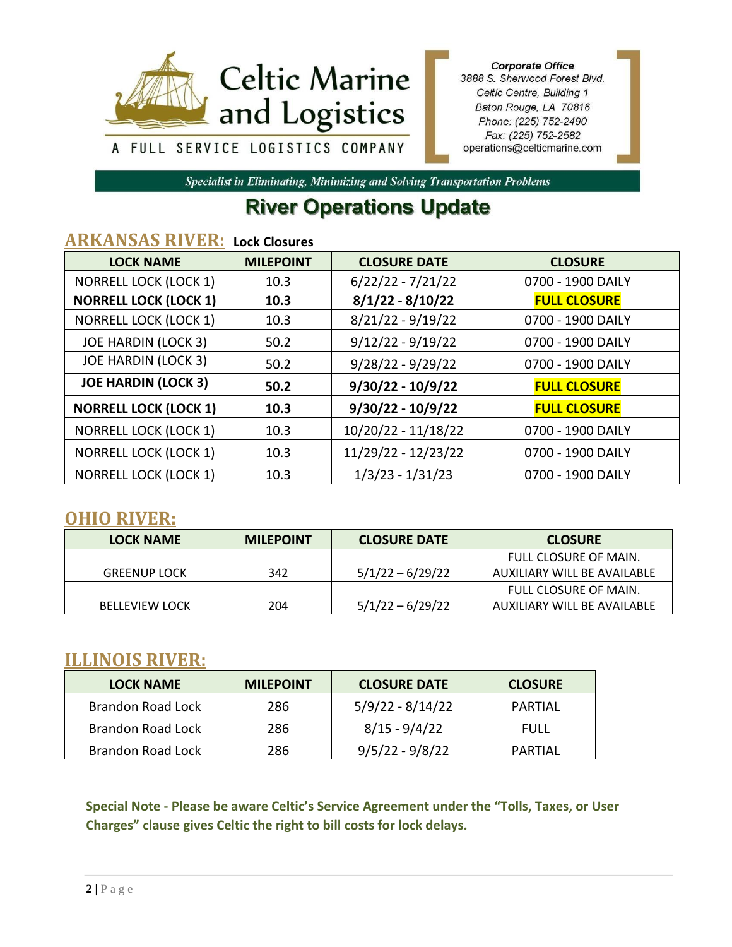

**Corporate Office** 3888 S. Sherwood Forest Blvd. Celtic Centre, Building 1 Baton Rouge, LA 70816 Phone: (225) 752-2490 Fax: (225) 752-2582 operations@celticmarine.com

Specialist in Eliminating, Minimizing and Solving Transportation Problems

# **River Operations Update**

### **ARKANSAS RIVER: Lock Closures**

| <b>LOCK NAME</b>             | <b>MILEPOINT</b> | <b>CLOSURE DATE</b> | <b>CLOSURE</b>      |  |
|------------------------------|------------------|---------------------|---------------------|--|
| <b>NORRELL LOCK (LOCK 1)</b> | 10.3             | $6/22/22 - 7/21/22$ | 0700 - 1900 DAILY   |  |
| <b>NORRELL LOCK (LOCK 1)</b> | 10.3             | $8/1/22 - 8/10/22$  | <b>FULL CLOSURE</b> |  |
| <b>NORRELL LOCK (LOCK 1)</b> | 10.3             | $8/21/22 - 9/19/22$ | 0700 - 1900 DAILY   |  |
| <b>JOE HARDIN (LOCK 3)</b>   | 50.2             | $9/12/22 - 9/19/22$ | 0700 - 1900 DAILY   |  |
| <b>JOE HARDIN (LOCK 3)</b>   | 50.2             | $9/28/22 - 9/29/22$ | 0700 - 1900 DAILY   |  |
| <b>JOE HARDIN (LOCK 3)</b>   | 50.2             | $9/30/22 - 10/9/22$ | <b>FULL CLOSURE</b> |  |
| <b>NORRELL LOCK (LOCK 1)</b> | 10.3             | $9/30/22 - 10/9/22$ | <b>FULL CLOSURE</b> |  |
| <b>NORRELL LOCK (LOCK 1)</b> | 10.3             | 10/20/22 - 11/18/22 | 0700 - 1900 DAILY   |  |
| <b>NORRELL LOCK (LOCK 1)</b> | 10.3             | 11/29/22 - 12/23/22 | 0700 - 1900 DAILY   |  |
| <b>NORRELL LOCK (LOCK 1)</b> | 10.3             | $1/3/23 - 1/31/23$  | 0700 - 1900 DAILY   |  |

#### **OHIO RIVER:**

| <b>LOCK NAME</b>      | <b>MILEPOINT</b> | <b>CLOSURE DATE</b> | <b>CLOSURE</b>              |
|-----------------------|------------------|---------------------|-----------------------------|
|                       |                  |                     | FULL CLOSURE OF MAIN.       |
| <b>GREENUP LOCK</b>   | 342              | $5/1/22 - 6/29/22$  | AUXILIARY WILL BE AVAILABLE |
|                       |                  |                     | FULL CLOSURE OF MAIN.       |
| <b>BELLEVIEW LOCK</b> | 204              | $5/1/22 - 6/29/22$  | AUXILIARY WILL BE AVAILABLE |

### **ILLINOIS RIVER:**

| <b>LOCK NAME</b>  | <b>MILEPOINT</b> | <b>CLOSURE DATE</b> | <b>CLOSURE</b> |
|-------------------|------------------|---------------------|----------------|
| Brandon Road Lock | 286              | $5/9/22 - 8/14/22$  | PARTIAL        |
| Brandon Road Lock | 286              | $8/15 - 9/4/22$     | FULL           |
| Brandon Road Lock | 286              | $9/5/22 - 9/8/22$   | PARTIAL        |

**Special Note - Please be aware Celtic's Service Agreement under the "Tolls, Taxes, or User Charges" clause gives Celtic the right to bill costs for lock delays.**